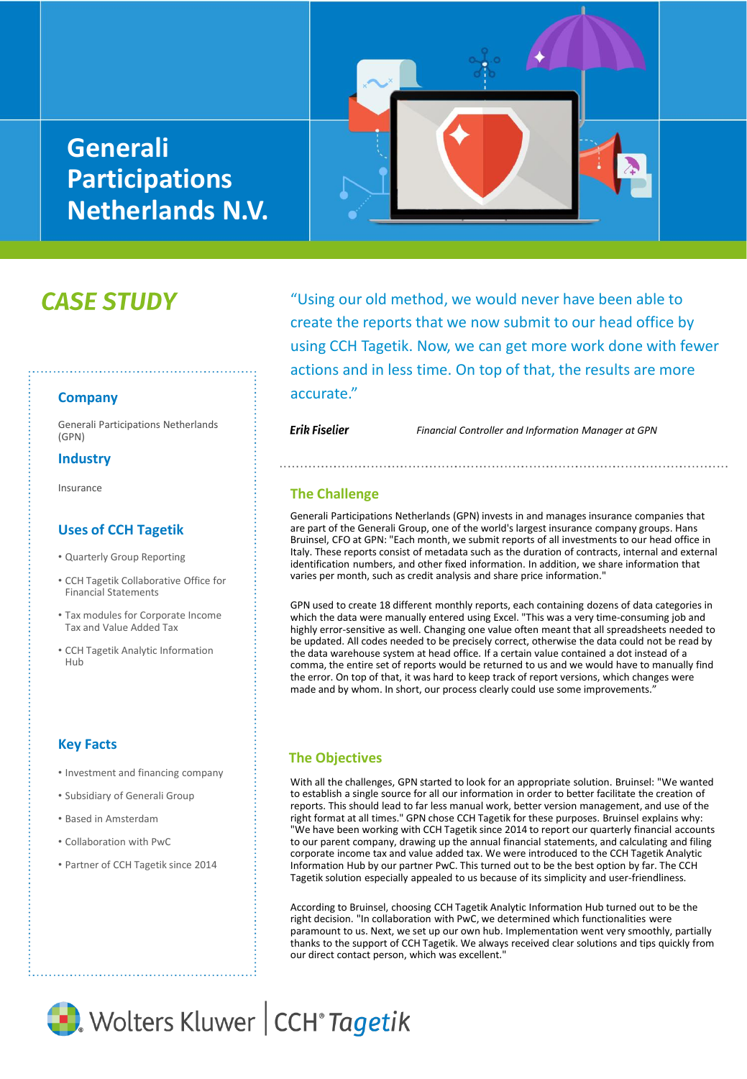# **Generali Participations Netherlands N.V.**



# **CASE STUDY**

**Company**

(GPN)

#### **Industry**

Insurance

### **Uses of CCH Tagetik**

- Quarterly Group Reporting
- CCH Tagetik Collaborative Office for Financial Statements
- Tax modules for Corporate Income Tax and Value Added Tax
- CCH Tagetik Analytic Information Hub

## **Key Facts**

- Investment and financing company
- Subsidiary of Generali Group
- Based in Amsterdam
- Collaboration with PwC
- Partner of CCH Tagetik since 2014

"Using our old method, we would never have been able to create the reports that we now submit to our head office by using CCH Tagetik. Now, we can get more work done with fewer actions and in less time. On top of that, the results are more accurate."

Financial Participations Netherlands<br>Controller and Information Manager at GPN

#### **The Challenge**

Generali Participations Netherlands (GPN) invests in and manages insurance companies that are part of the Generali Group, one of the world's largest insurance company groups. Hans Bruinsel, CFO at GPN: "Each month, we submit reports of all investments to our head office in Italy. These reports consist of metadata such as the duration of contracts, internal and external identification numbers, and other fixed information. In addition, we share information that varies per month, such as credit analysis and share price information."

GPN used to create 18 different monthly reports, each containing dozens of data categories in which the data were manually entered using Excel. "This was a very time-consuming job and highly error-sensitive as well. Changing one value often meant that all spreadsheets needed to be updated. All codes needed to be precisely correct, otherwise the data could not be read by the data warehouse system at head office. If a certain value contained a dot instead of a comma, the entire set of reports would be returned to us and we would have to manually find the error. On top of that, it was hard to keep track of report versions, which changes were made and by whom. In short, our process clearly could use some improvements.'

### **The Objectives**

With all the challenges, GPN started to look for an appropriate solution. Bruinsel: "We wanted to establish a single source for all our information in order to better facilitate the creation of reports. This should lead to far less manual work, better version management, and use of the right format at all times." GPN chose CCH Tagetik for these purposes. Bruinsel explains why: "We have been working with CCH Tagetik since 2014 to report our quarterly financial accounts to our parent company, drawing up the annual financial statements, and calculating and filing corporate income tax and value added tax. We were introduced to the CCH Tagetik Analytic Information Hub by our partner PwC. This turned out to be the best option by far. The CCH Tagetik solution especially appealed to us because of its simplicity and user-friendliness.

According to Bruinsel, choosing CCH Tagetik Analytic Information Hub turned out to be the right decision. "In collaboration with PwC, we determined which functionalities were paramount to us. Next, we set up our own hub. Implementation went very smoothly, partially thanks to the support of CCH Tagetik. We always received clear solutions and tips quickly from our direct contact person, which was excellent.'